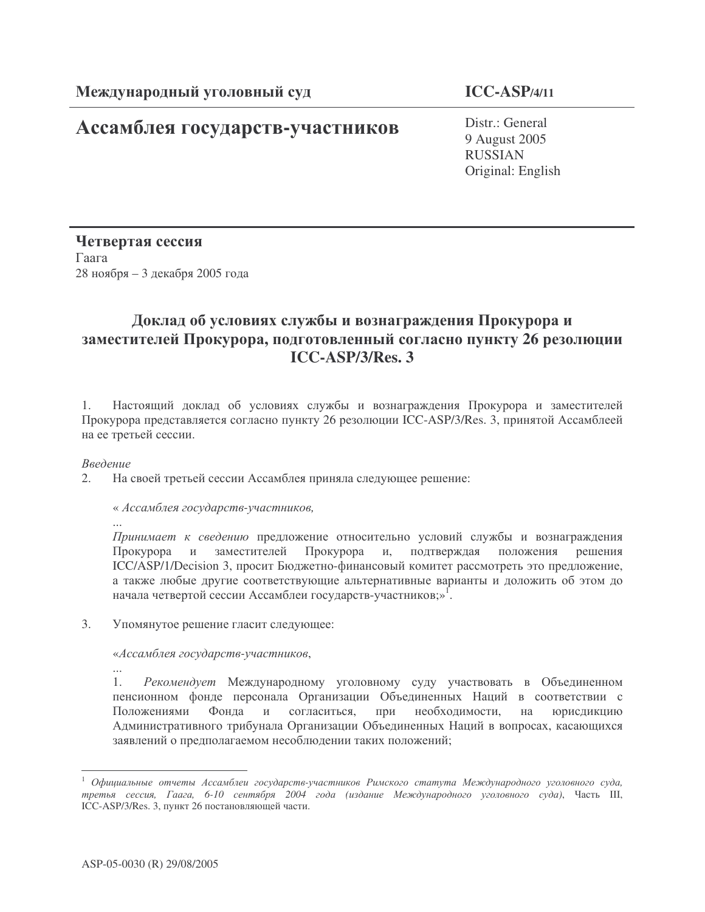## Ассамблея государств-участников

**ICC-ASP/4/11**

Distr.: General 9 August 2005 RUSSIAN Original: English

Четвертая сессия  $\Gamma$ аага 28 ноября – 3 декабря 2005 года

## Доклад об условиях службы и вознаграждения Прокурора и заместителей Прокурора, подготовленный согласно пункту 26 резолюции **ICC-ASP/3/Res. 3**

1. Настоящий доклад об условиях службы и вознаграждения Прокурора и заместителей Прокурора представляется согласно пункту 26 резолюции ICC-ASP/3/Res. 3, принятой Ассамблеей на ее третьей сессии.

Введение

2. На своей третьей сессии Ассамблея приняла следующее решение:

« Ассамблея государств-участников,

... Принимает к сведению предложение относительно условий службы и вознаграждения Прокурора и заместителей Прокурора и, подтверждая положения рец шения ICC/ASP/1/Decision 3, просит Бюджетно-финансовый комитет рассмотреть это предложение, а также любые другие соответствующие альтернативные варианты и доложить об этом до начала четвертой сессии Ассамблеи государств-участников;»<sup>1</sup>.

3. Упомянутое решение гласит следующее:

«Ассамблея государств-участников,

... 1. Рекомендует Международному уголовному суду участвовать в Объединенном пенсионном фонде персонала Организации Объединенных Наций в соответствии с Положениями Фонда и согласиться, при нес необходимости, на юрисдикцию Административного трибунала Организации Объединенных Наций в вопросах, касающихся заявлений о предполагаемом несоблюдении таких положений;

<sup>&</sup>lt;sup>1</sup> Официальные отчеты Ассамблеи государств-участников Римского статута Международного уголовного суда, третья сессия, Гаага, 6-10 сентября 2004 года (издание Международного уголовного суда), Часть III, ICC-ASP/3/Res. 3, пункт 26 постановляющей части.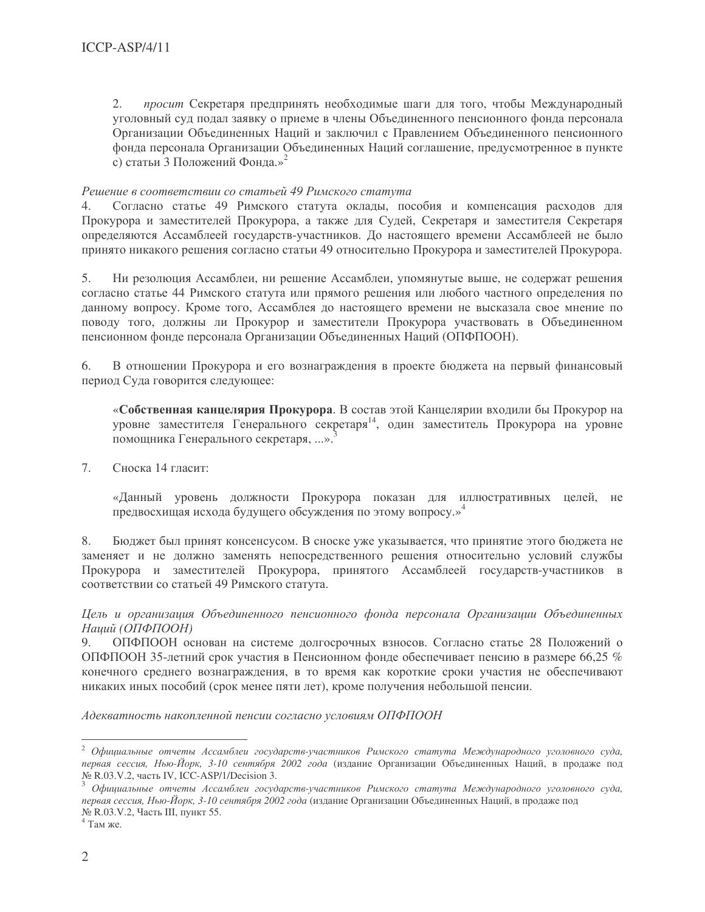просит Секретаря предпринять необходимые шаги для того, чтобы Международный  $2.$ уголовный суд подал заявку о приеме в члены Объединенного пенсионного фонда персонала Организации Объединенных Наций и заключил с Правлением Объединенного пенсионного фонда персонала Организации Объединенных Наций соглашение, предусмотренное в пункте с) статьи 3 Положений Фонда.»<sup>2</sup>

## Решение в соответствии со статьей 49 Римского статута

Согласно статье 49 Римского статута оклады, пособия и компенсация расходов для  $\overline{4}$ . Прокурора и заместителей Прокурора, а также для Судей, Секретаря и заместителя Секретаря определяются Ассамблеей государств-участников. До настоящего времени Ассамблеей не было принято никакого решения согласно статьи 49 относительно Прокурора и заместителей Прокурора.

 $5<sub>1</sub>$ Ни резолюция Ассамблеи, ни решение Ассамблеи, упомянутые выше, не содержат решения согласно статье 44 Римского статута или прямого решения или любого частного определения по данному вопросу. Кроме того, Ассамблея до настоящего времени не высказала свое мнение по поводу того, должны ли Прокурор и заместители Прокурора участвовать в Объединенном пенсионном фонде персонала Организации Объединенных Наций (ОПФПООН).

В отношении Прокурора и его вознаграждения в проекте бюджета на первый финансовый 6 период Суда говорится следующее:

«Собственная канцелярия Прокурора. В состав этой Канцелярии входили бы Прокурор на уровне заместителя Генерального секретаря<sup>14</sup>, один заместитель Прокурора на уровне помощника Генерального секретаря, ...».

7. Сноска 14 гласит:

> «Данный уровень должности Прокурора показан для иллюстративных целей, не предвосхищая исхода будущего обсуждения по этому вопросу.»<sup>4</sup>

Бюджет был принят консенсусом. В сноске уже указывается, что принятие этого бюджета не 8. заменяет и не должно заменять непосредственного решения относительно условий службы Прокурора и заместителей Прокурора, принятого Ассамблеей государств-участников в соответствии со статьей 49 Римского статута.

Цель и организация Объединенного пенсионного фонда персонала Организации Объединенных Наций (ОПФПООН)

 $9<sub>1</sub>$ ОПФПООН основан на системе долгосрочных взносов. Согласно статье 28 Положений о ОПФПООН 35-летний срок участия в Пенсионном фонде обеспечивает пенсию в размере 66,25 % конечного среднего вознаграждения, в то время как короткие сроки участия не обеспечивают никаких иных пособий (срок менее пяти лет), кроме получения небольшой пенсии.

Адекватность накопленной пенсии согласно условиям ОПФПООН

<sup>&</sup>lt;sup>2</sup> Официальные отчеты Ассамблеи государств-участников Римского статута Международного уголовного суда, первая сессия, Нью-Йорк, 3-10 сентября 2002 года (издание Организации Объединенных Наций, в продаже под № R.03.V.2, часть IV, ICC-ASP/1/Decision 3.

 $^3$  Официальные отчеты Ассамблеи государств-участников Римского статута Международного уголовного суда, первая сессия, Нью-Йорк, 3-10 сентября 2002 года (издание Организации Объединенных Наций, в продаже под № R.03.V.2, Часть III, пункт 55.

 $4$  Там же.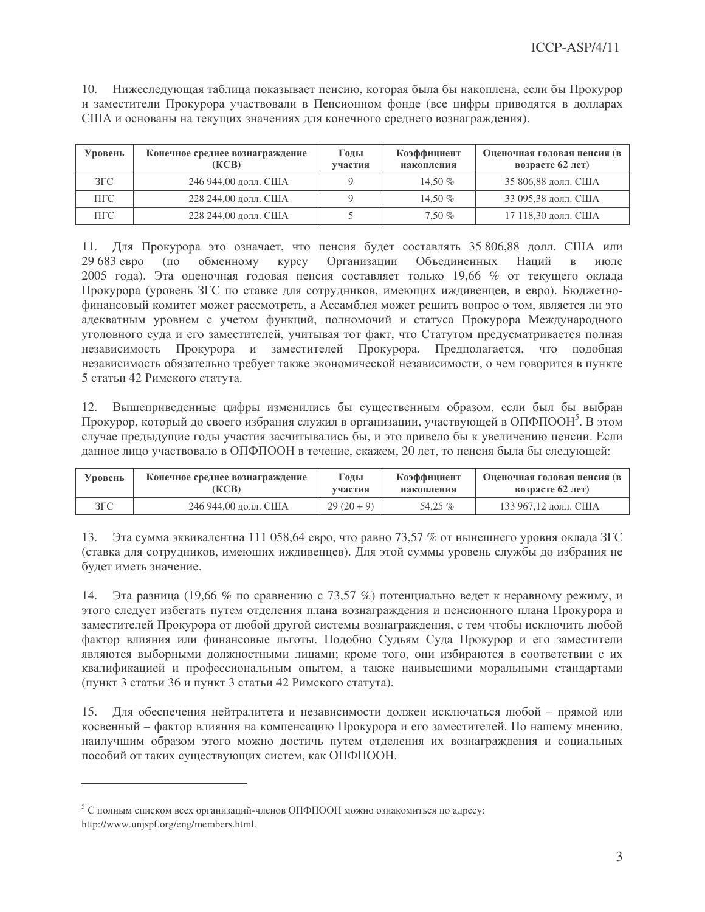10. Нижеследующая таблица показывает пенсию, которая была бы накоплена, если бы Прокурор и заместители Прокурора участвовали в Пенсионном фонде (все цифры приводятся в долларах США и основаны на текущих значениях для конечного среднего вознаграждения).

| Уровень       | Конечное среднее вознаграждение<br>(KCB) | Годы<br>участия | Коэффициент<br>накопления | Оценочная годовая пенсия (в<br>возрасте $62$ лет) |
|---------------|------------------------------------------|-----------------|---------------------------|---------------------------------------------------|
| $3\Gamma C$   | 246 944,00 долл. США                     |                 | 14.50 $%$                 | 35 806,88 долл. США                               |
| $\Pi\Gamma C$ | 228 244,00 долл. США                     |                 | 14.50 $%$                 | 33 095,38 долл. США                               |
| ПГС           | 228 244,00 долл. США                     |                 | $7.50\%$                  | 17 118,30 долл. США                               |

11. Для Прокурора это означает, что пенсия будет составлять 35 806,88 долл. США или  $29683$  ebno  $(100$ обменному KVDCV Организации Объединенных Наций  $B$ июле 2005 года). Эта оценочная годовая пенсия составляет только 19,66 % от текущего оклада Прокурора (уровень ЗГС по ставке для сотрудников, имеющих иждивенцев, в евро). Бюджетнофинансовый комитет может рассмотреть, а Ассамблея может решить вопрос о том, является ли это адекватным уровнем с учетом функций, полномочий и статуса Прокурора Международного уголовного суда и его заместителей, учитывая тот факт, что Статутом предусматривается полная независимость Прокурора и заместителей Прокурора. Предполагается, что подобная независимость обязательно требует также экономической независимости, о чем говорится в пункте 5 статьи 42 Римского статута.

12. Вышеприведенные цифры изменились бы существенным образом, если был бы выбран Прокурор, который до своего избрания служил в организации, участвующей в ОПФПООН<sup>5</sup>. В этом случае предыдущие годы участия засчитывались бы, и это привело бы к увеличению пенсии. Если данное лицо участвовало в ОПФПООН в течение, скажем, 20 лет, то пенсия была бы следующей:

| Уровень | Конечное среднее вознаграждение | 1 олы      | Коэффициент | Оценочная годовая пенсия (в |  |
|---------|---------------------------------|------------|-------------|-----------------------------|--|
|         | (KCB)                           | участия    | накопления  | возрасте $62$ лет)          |  |
| ЗГС     | 246 944,00 долл. США            | $29(20+9)$ | 54.25 %     | 133 967,12 долл. США        |  |

13. Эта сумма эквивалентна 111 058,64 евро, что равно 73,57 % от нынешнего уровня оклада ЗГС (ставка для сотрудников, имеющих иждивенцев). Для этой суммы уровень службы до избрания не будет иметь значение.

Эта разница (19,66 % по сравнению с 73,57 %) потенциально ведет к неравному режиму, и 14. этого следует избегать путем отделения плана вознаграждения и пенсионного плана Прокурора и заместителей Прокурора от любой другой системы вознаграждения, с тем чтобы исключить любой фактор влияния или финансовые льготы. Подобно Судьям Суда Прокурор и его заместители являются выборными должностными лицами; кроме того, они избираются в соответствии с их квалификацией и профессиональным опытом, а также наивысшими моральными стандартами (пункт 3 статьи 36 и пункт 3 статьи 42 Римского статута).

15. Для обеспечения нейтралитета и независимости должен исключаться любой – прямой или косвенный – фактор влияния на компенсацию Прокурора и его заместителей. По нашему мнению, наилучшим образом этого можно достичь путем отделения их вознаграждения и социальных пособий от таких существующих систем, как ОПФПООН.

<sup>&</sup>lt;sup>5</sup> С полным списком всех организаций-членов ОПФПООН можно ознакомиться по адресу: http://www.unjspf.org/eng/members.html.